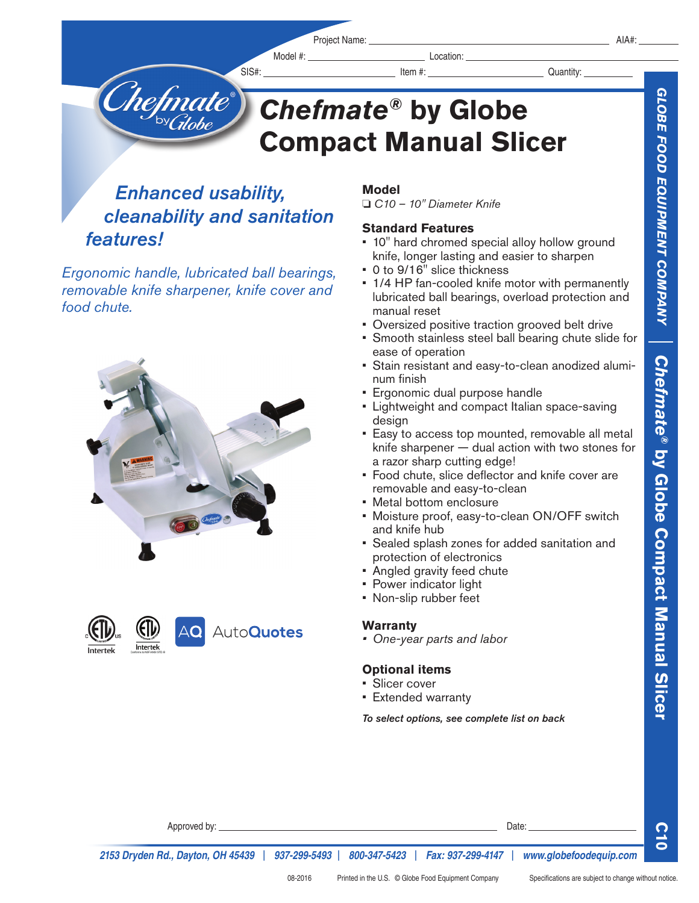SIS#: Item #: Quantity:

# *Chefmate®* **by Globe Compact Manual Slicer**

## *Enhanced usability, cleanability and sanitation features!*

T**hefmate** 

*Ergonomic handle, lubricated ball bearings, removable knife sharpener, knife cover and food chute.* 





### **Model**

o *C10 – 10" Diameter Knife* 

#### **Standard Features**

- 10" hard chromed special alloy hollow ground knife, longer lasting and easier to sharpen
- 0 to 9/16" slice thickness
- 1/4 HP fan-cooled knife motor with permanently lubricated ball bearings, overload protection and manual reset
- Oversized positive traction grooved belt drive
- Smooth stainless steel ball bearing chute slide for ease of operation
- Stain resistant and easy-to-clean anodized aluminum finish
- Ergonomic dual purpose handle
- Lightweight and compact Italian space-saving design
- Easy to access top mounted, removable all metal knife sharpener — dual action with two stones for a razor sharp cutting edge!
- Food chute, slice deflector and knife cover are removable and easy-to-clean
- Metal bottom enclosure
- Moisture proof, easy-to-clean ON/OFF switch and knife hub
- Sealed splash zones for added sanitation and protection of electronics
- Angled gravity feed chute
- Power indicator light
- Non-slip rubber feet

#### **Warranty**

*• One-year parts and labor*

#### **Optional items**

- Slicer cover
- Extended warranty

*To select options, see complete list on back*

**C10**

**by Globe Compact Manual Slicer**

*2153 Dryden Rd., Dayton, OH 45439* | *937-299-5493* | *800-347-5423* | *Fax: 937-299-4147* | *www.globefoodequip.com*

Approved by: Date:  $\Box$